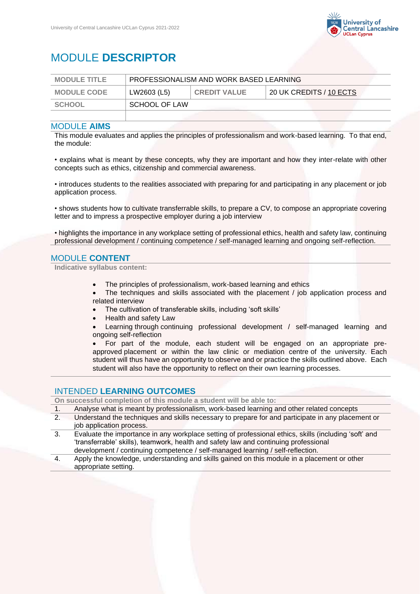

# MODULE **DESCRIPTOR**

| <b>MODULE TITLE</b> | PROFESSIONALISM AND WORK BASED LEARNING |                     |                         |
|---------------------|-----------------------------------------|---------------------|-------------------------|
| <b>MODULE CODE</b>  | LW2603 (L5)                             | <b>CREDIT VALUE</b> | 20 UK CREDITS / 10 ECTS |
| SCHOOL              | SCHOOL OF LAW                           |                     |                         |
|                     |                                         |                     |                         |

### MODULE **AIMS**

This module evaluates and applies the principles of professionalism and work-based learning. To that end, the module:

• explains what is meant by these concepts, why they are important and how they inter-relate with other concepts such as ethics, citizenship and commercial awareness.

• introduces students to the realities associated with preparing for and participating in any placement or job application process.

• shows students how to cultivate transferrable skills, to prepare a CV, to compose an appropriate covering letter and to impress a prospective employer during a job interview

• highlights the importance in any workplace setting of professional ethics, health and safety law, continuing professional development / continuing competence / self-managed learning and ongoing self-reflection.

# MODULE **CONTENT**

#### **Indicative syllabus content:**

- The principles of professionalism, work-based learning and ethics
- The techniques and skills associated with the placement / job application process and related interview
- The cultivation of transferable skills, including 'soft skills'
- Health and safety Law
- Learning through continuing professional development / self-managed learning and ongoing self-reflection

• For part of the module, each student will be engaged on an appropriate preapproved placement or within the law clinic or mediation centre of the university. Each student will thus have an opportunity to observe and or practice the skills outlined above. Each student will also have the opportunity to reflect on their own learning processes.

## INTENDED **LEARNING OUTCOMES**

**On successful completion of this module a student will be able to:**

- 1. Analyse what is meant by professionalism, work-based learning and other related concepts
- 2. Understand the techniques and skills necessary to prepare for and participate in any placement or job application process.
- 3. Evaluate the importance in any workplace setting of professional ethics, skills (including 'soft' and 'transferrable' skills), teamwork, health and safety law and continuing professional development / continuing competence / self-managed learning / self-reflection.
- 4. Apply the knowledge, understanding and skills gained on this module in a placement or other appropriate setting.